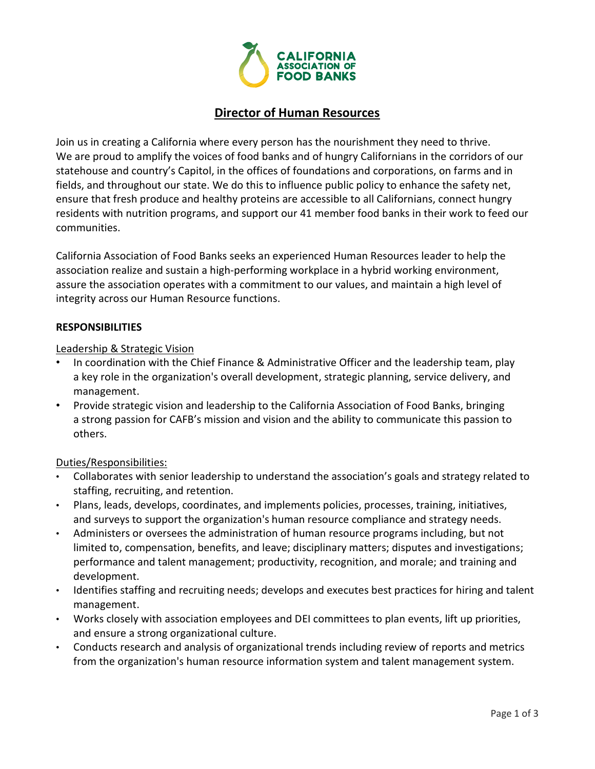

# Director of Human Resources

Join us in creating a California where every person has the nourishment they need to thrive. We are proud to amplify the voices of food banks and of hungry Californians in the corridors of our statehouse and country's Capitol, in the offices of foundations and corporations, on farms and in fields, and throughout our state. We do this to influence public policy to enhance the safety net, ensure that fresh produce and healthy proteins are accessible to all Californians, connect hungry residents with nutrition programs, and support our 41 member food banks in their work to feed our communities.

California Association of Food Banks seeks an experienced Human Resources leader to help the association realize and sustain a high-performing workplace in a hybrid working environment, assure the association operates with a commitment to our values, and maintain a high level of integrity across our Human Resource functions.

### RESPONSIBILITIES

### Leadership & Strategic Vision

- In coordination with the Chief Finance & Administrative Officer and the leadership team, play a key role in the organization's overall development, strategic planning, service delivery, and management.
- Provide strategic vision and leadership to the California Association of Food Banks, bringing a strong passion for CAFB's mission and vision and the ability to communicate this passion to others.

#### Duties/Responsibilities:

- Collaborates with senior leadership to understand the association's goals and strategy related to staffing, recruiting, and retention.
- Plans, leads, develops, coordinates, and implements policies, processes, training, initiatives, and surveys to support the organization's human resource compliance and strategy needs.
- Administers or oversees the administration of human resource programs including, but not limited to, compensation, benefits, and leave; disciplinary matters; disputes and investigations; performance and talent management; productivity, recognition, and morale; and training and development.
- Identifies staffing and recruiting needs; develops and executes best practices for hiring and talent management.
- Works closely with association employees and DEI committees to plan events, lift up priorities, and ensure a strong organizational culture.
- Conducts research and analysis of organizational trends including review of reports and metrics from the organization's human resource information system and talent management system.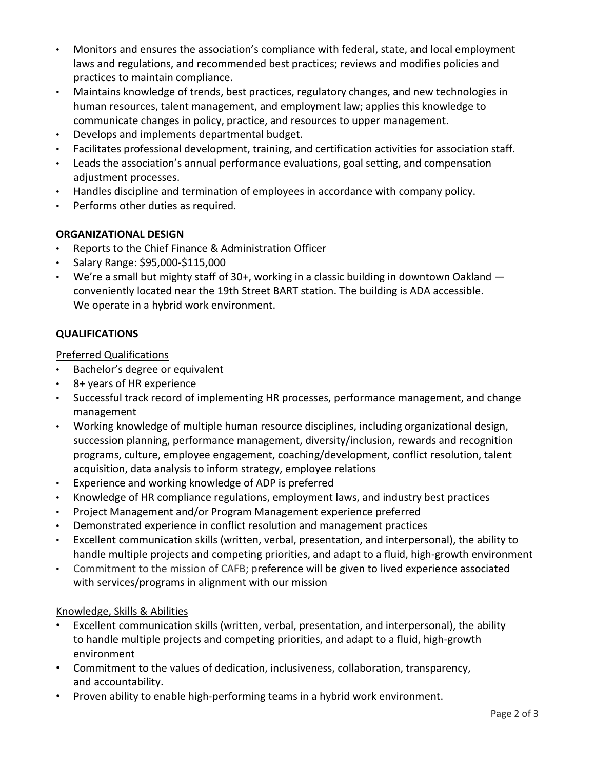- Monitors and ensures the association's compliance with federal, state, and local employment laws and regulations, and recommended best practices; reviews and modifies policies and practices to maintain compliance.
- Maintains knowledge of trends, best practices, regulatory changes, and new technologies in human resources, talent management, and employment law; applies this knowledge to communicate changes in policy, practice, and resources to upper management.
- Develops and implements departmental budget.
- Facilitates professional development, training, and certification activities for association staff.
- Leads the association's annual performance evaluations, goal setting, and compensation adjustment processes.
- Handles discipline and termination of employees in accordance with company policy.
- Performs other duties as required.

## ORGANIZATIONAL DESIGN

- Reports to the Chief Finance & Administration Officer
- Salary Range: \$95,000-\$115,000
- We're a small but mighty staff of 30+, working in a classic building in downtown Oakland conveniently located near the 19th Street BART station. The building is ADA accessible. We operate in a hybrid work environment.

## QUALIFICATIONS

Preferred Qualifications

- Bachelor's degree or equivalent
- 8+ years of HR experience
- Successful track record of implementing HR processes, performance management, and change management
- Working knowledge of multiple human resource disciplines, including organizational design, succession planning, performance management, diversity/inclusion, rewards and recognition programs, culture, employee engagement, coaching/development, conflict resolution, talent acquisition, data analysis to inform strategy, employee relations
- Experience and working knowledge of ADP is preferred
- Knowledge of HR compliance regulations, employment laws, and industry best practices
- Project Management and/or Program Management experience preferred
- Demonstrated experience in conflict resolution and management practices
- Excellent communication skills (written, verbal, presentation, and interpersonal), the ability to handle multiple projects and competing priorities, and adapt to a fluid, high-growth environment
- Commitment to the mission of CAFB; preference will be given to lived experience associated with services/programs in alignment with our mission

### Knowledge, Skills & Abilities

- Excellent communication skills (written, verbal, presentation, and interpersonal), the ability to handle multiple projects and competing priorities, and adapt to a fluid, high-growth environment
- Commitment to the values of dedication, inclusiveness, collaboration, transparency, and accountability.
- Proven ability to enable high-performing teams in a hybrid work environment.